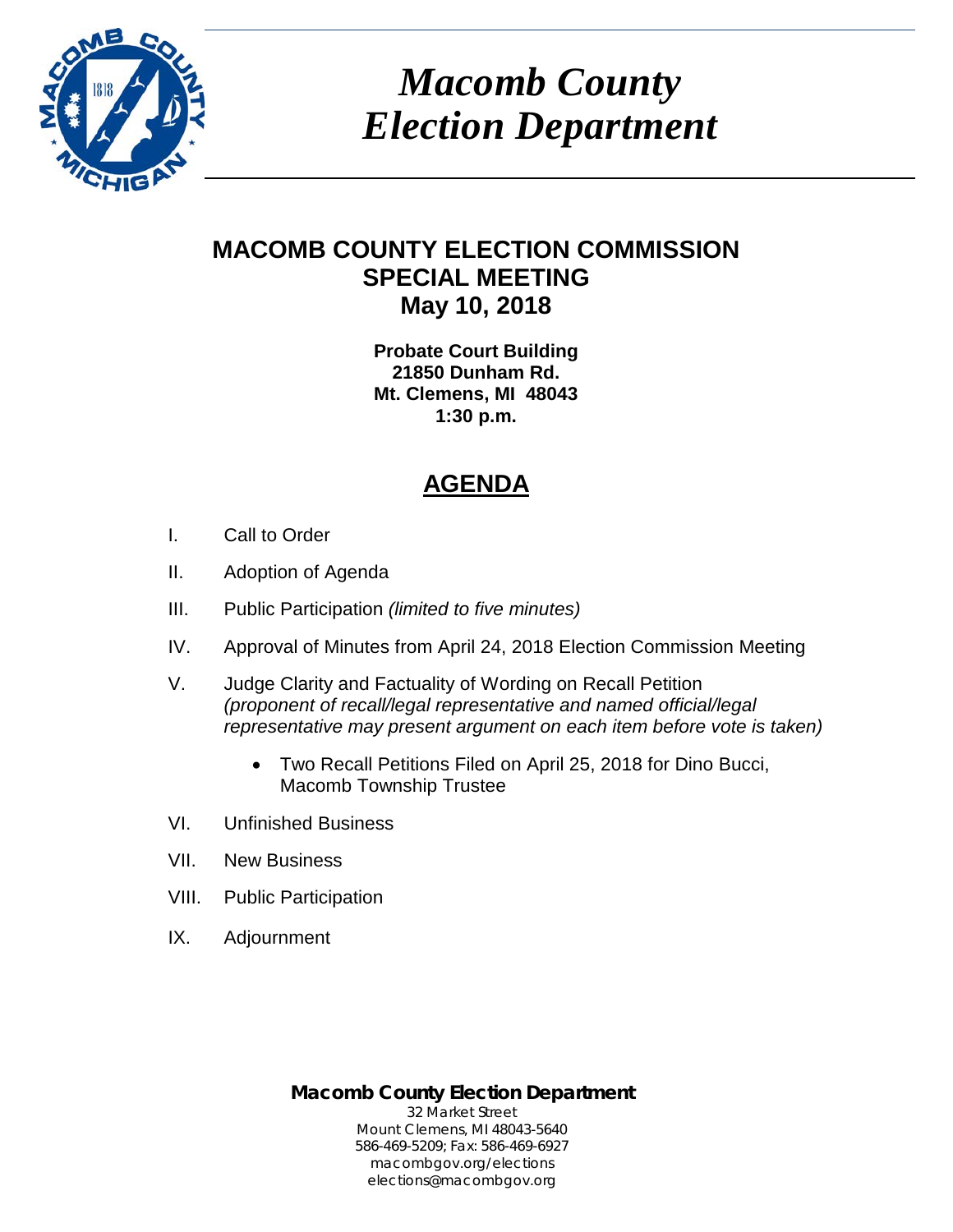

*Macomb County Election Department*

# **MACOMB COUNTY ELECTION COMMISSION SPECIAL MEETING May 10, 2018**

**Probate Court Building 21850 Dunham Rd. Mt. Clemens, MI 48043 1:30 p.m.**

# **AGENDA**

- I. Call to Order
- II. Adoption of Agenda
- III. Public Participation *(limited to five minutes)*
- IV. Approval of Minutes from April 24, 2018 Election Commission Meeting
- V. Judge Clarity and Factuality of Wording on Recall Petition *(proponent of recall/legal representative and named official/legal representative may present argument on each item before vote is taken)*
	- Two Recall Petitions Filed on April 25, 2018 for Dino Bucci, Macomb Township Trustee
- VI. Unfinished Business
- VII. New Business
- VIII. Public Participation
- IX. Adjournment

**Macomb County Election Department** 32 Market Street Mount Clemens, MI 48043-5640 586-469-5209; Fax: 586-469-6927 macombgov.org/elections elections@macombgov.org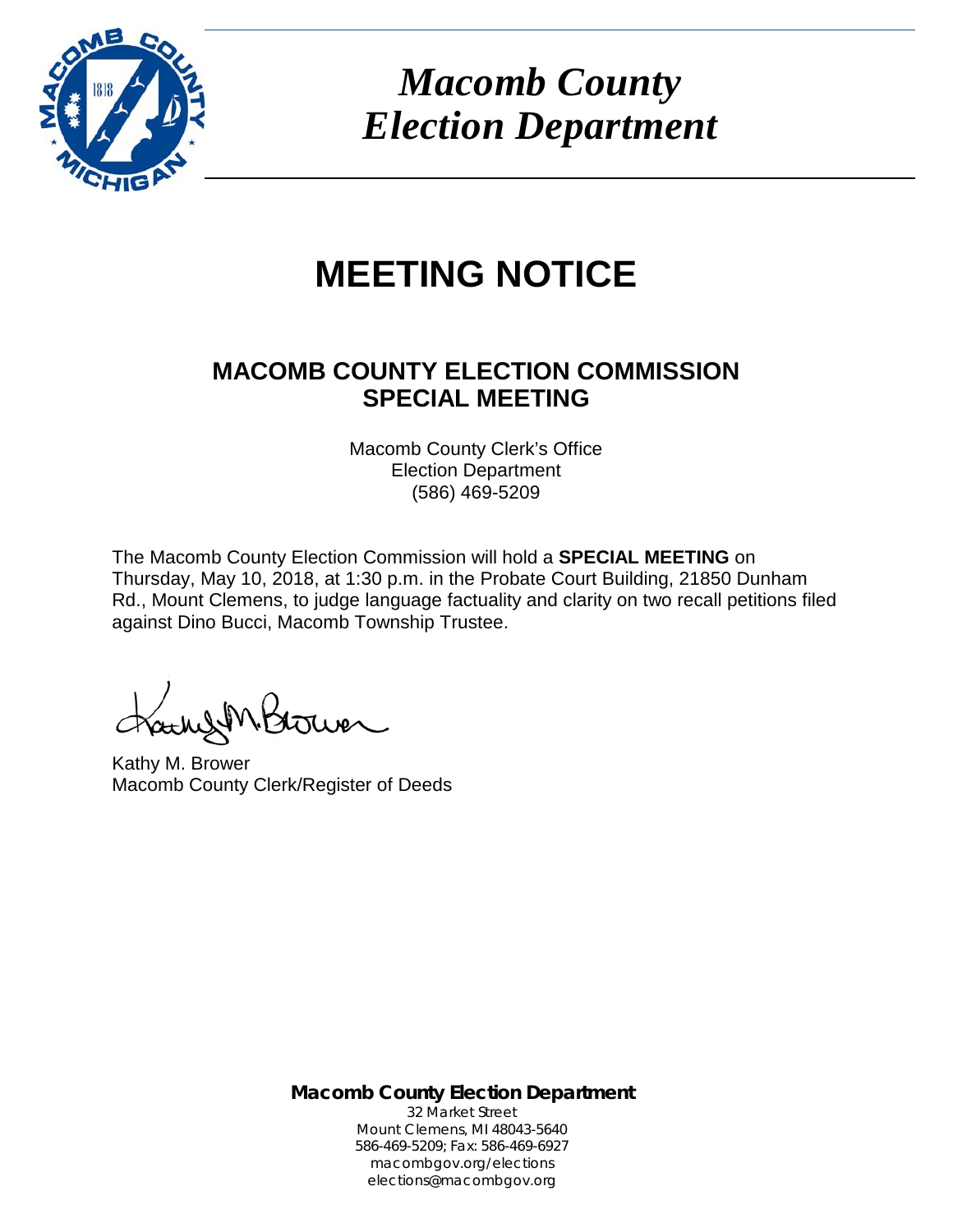

*Macomb County Election Department*

# **MEETING NOTICE**

# **MACOMB COUNTY ELECTION COMMISSION SPECIAL MEETING**

Macomb County Clerk's Office Election Department (586) 469-5209

The Macomb County Election Commission will hold a **SPECIAL MEETING** on Thursday, May 10, 2018, at 1:30 p.m. in the Probate Court Building, 21850 Dunham Rd., Mount Clemens, to judge language factuality and clarity on two recall petitions filed against Dino Bucci, Macomb Township Trustee.

Kathy M. Brower Macomb County Clerk/Register of Deeds

**Macomb County Election Department** 32 Market Street Mount Clemens, MI 48043-5640 586-469-5209; Fax: 586-469-6927 macombgov.org/elections elections@macombgov.org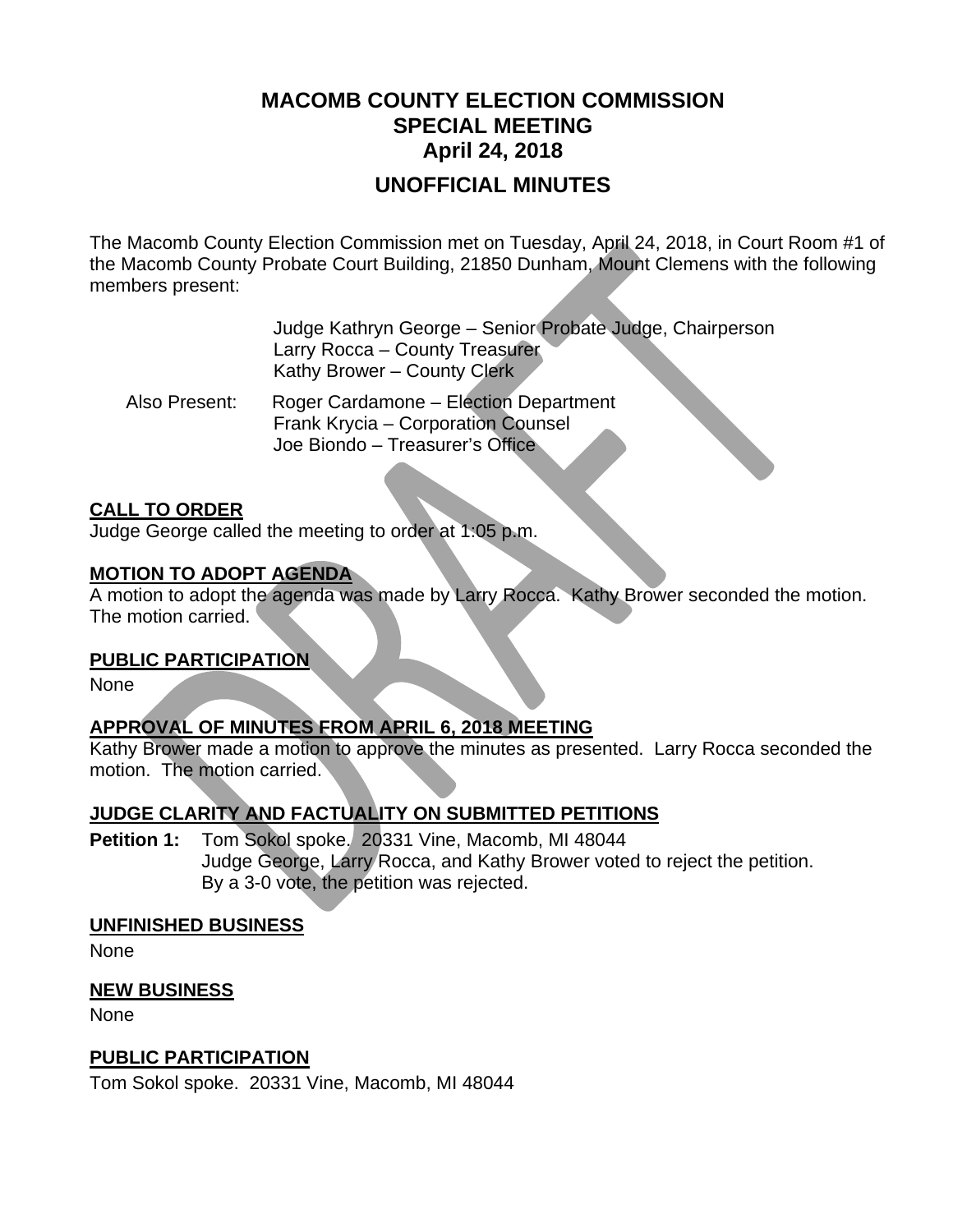# **MACOMB COUNTY ELECTION COMMISSION SPECIAL MEETING April 24, 2018**

# **UNOFFICIAL MINUTES**

The Macomb County Election Commission met on Tuesday, April 24, 2018, in Court Room #1 of the Macomb County Probate Court Building, 21850 Dunham, Mount Clemens with the following members present:

> Judge Kathryn George – Senior Probate Judge, Chairperson Larry Rocca – County Treasurer Kathy Brower – County Clerk

 Also Present: Roger Cardamone – Election Department Frank Krycia – Corporation Counsel Joe Biondo – Treasurer's Office

### **CALL TO ORDER**

Judge George called the meeting to order at 1:05 p.m.

### **MOTION TO ADOPT AGENDA**

A motion to adopt the agenda was made by Larry Rocca. Kathy Brower seconded the motion. The motion carried.

#### **PUBLIC PARTICIPATION**

None

# **APPROVAL OF MINUTES FROM APRIL 6, 2018 MEETING**

Kathy Brower made a motion to approve the minutes as presented. Larry Rocca seconded the motion. The motion carried.

# **JUDGE CLARITY AND FACTUALITY ON SUBMITTED PETITIONS**

**Petition 1:** Tom Sokol spoke. 20331 Vine, Macomb, MI 48044 Judge George, Larry Rocca, and Kathy Brower voted to reject the petition. By a 3-0 vote, the petition was rejected.

#### **UNFINISHED BUSINESS**

None

## **NEW BUSINESS**

None

## **PUBLIC PARTICIPATION**

Tom Sokol spoke. 20331 Vine, Macomb, MI 48044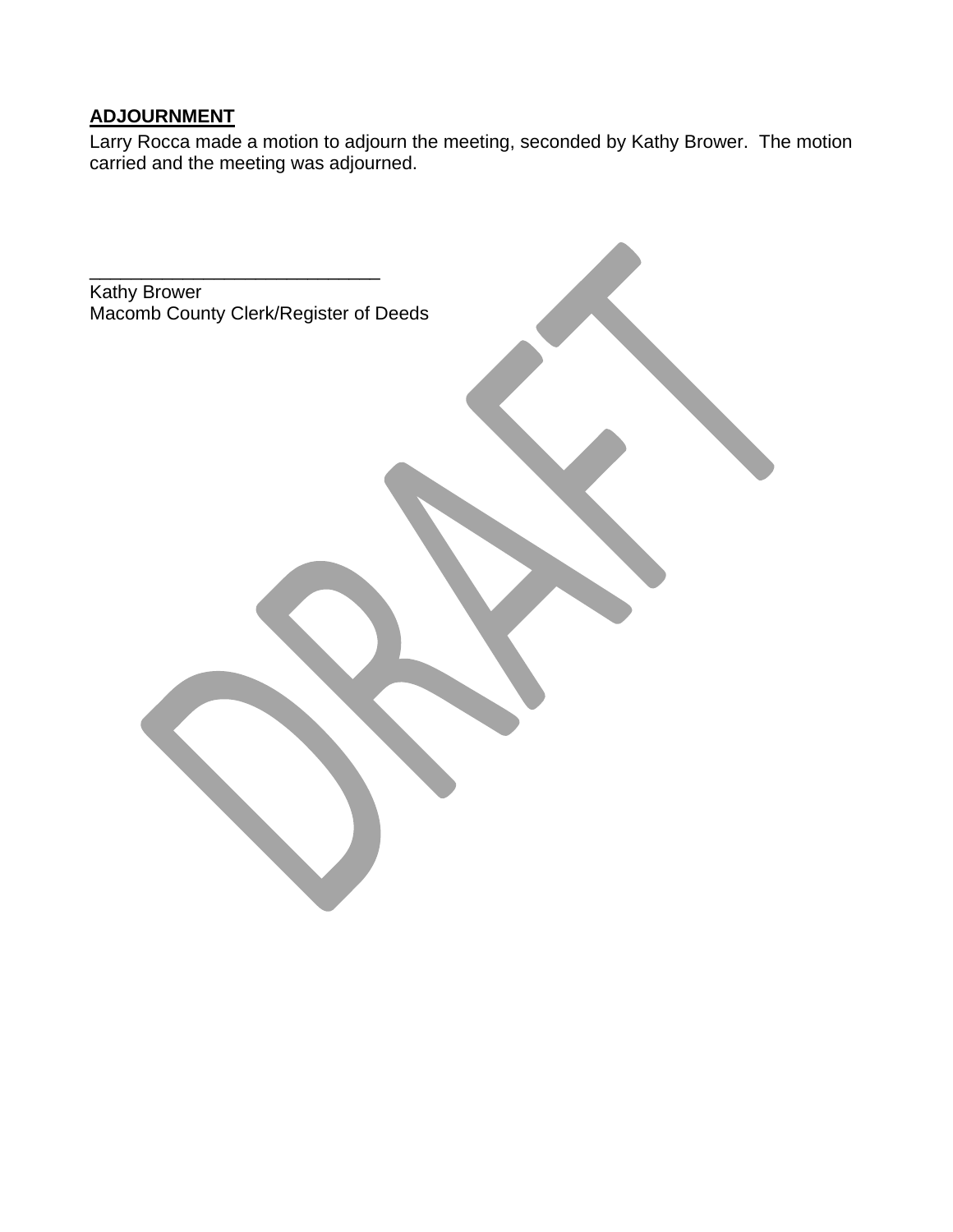# **ADJOURNMENT**

Larry Rocca made a motion to adjourn the meeting, seconded by Kathy Brower. The motion carried and the meeting was adjourned.

Kathy Brower Macomb County Clerk/Register of Deeds

\_\_\_\_\_\_\_\_\_\_\_\_\_\_\_\_\_\_\_\_\_\_\_\_\_\_\_\_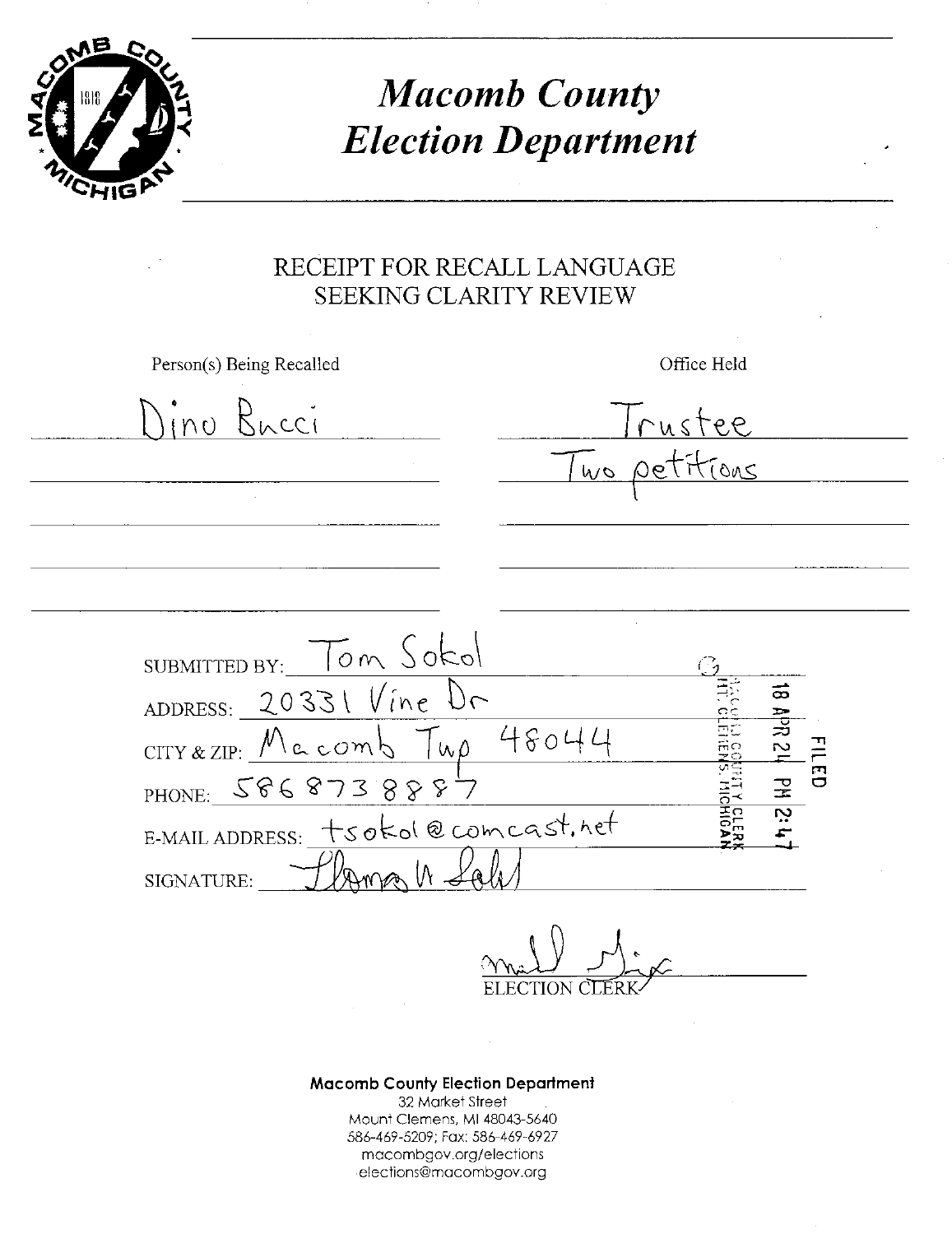

**Macomb County Election Department** 

# RECEIPT FOR RECALL LANGUAGE **SEEKING CLARITY REVIEW**

Person(s) Being Recalled

Office Held

Ino Bacci ustee OUS Tom Sokol **SUBMITTED BY:** ADDRESS: \_ 20331  $Vine$ ౚ 48044  $CITY & ZIP: Mccom$  $W<sub>0</sub>$  $\frac{11}{11}$ PHONE: 5868  $73888$ tsokol@comcast.het E-MAIL ADDRESS: SIGNATURE:

**Macomb County Election Department** 32 Market Street Mount Clemens, MI 48043-5640 586-469-5209; Fax: 586-469-6927 macombgov.org/elections elections@macombgov.org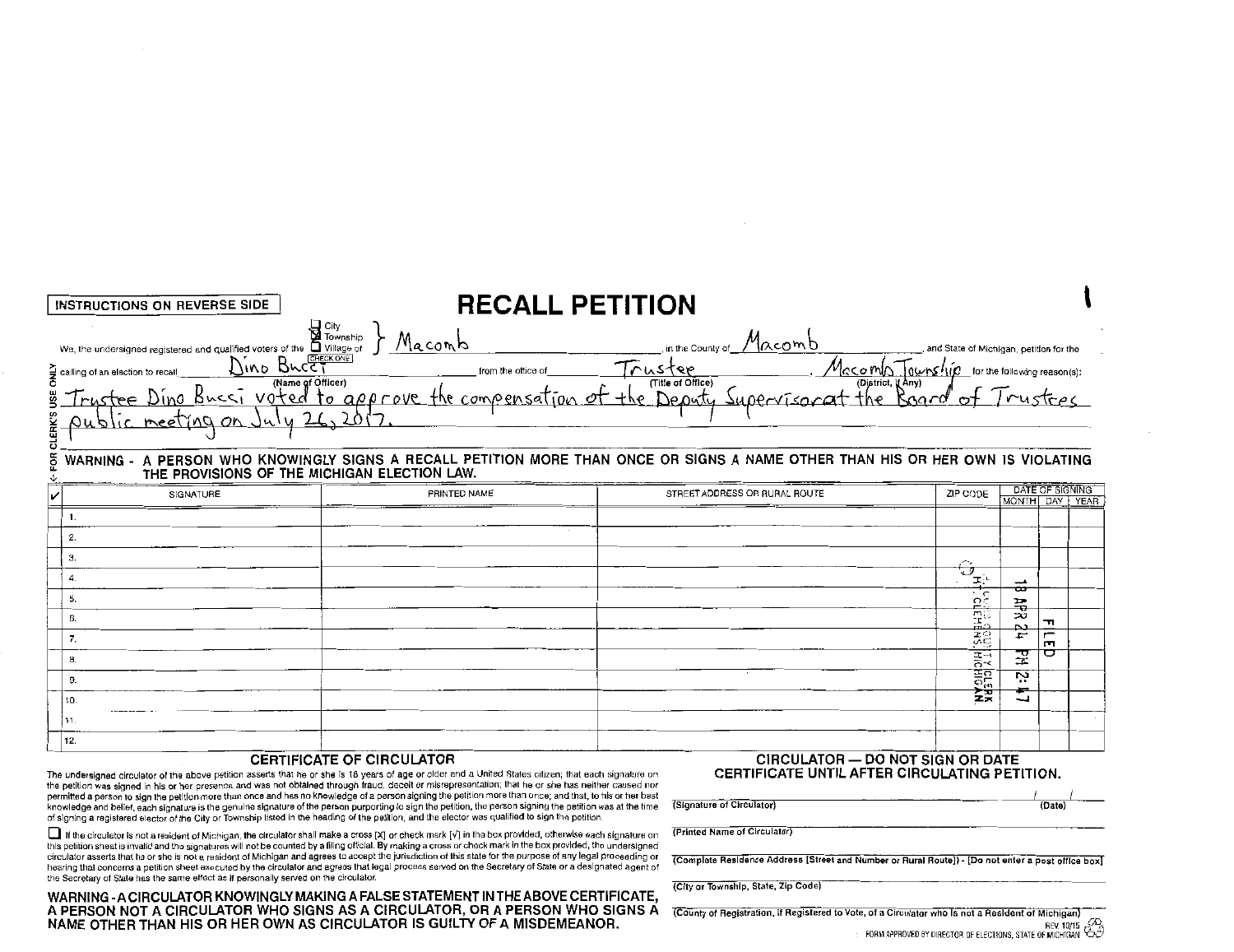| <b>CLERK'S</b><br>THE PROVISIONS OF THE MICHIGAN ELECTION LAW.<br>DATE OF SIGNING<br>ZIP CODE<br>SIGNATURE<br>PRINTED NAME<br>STREET ADDRESS OR RURAL ROUTE<br>MONTH DAY YEAR<br>1.<br>2.<br>З.<br>⊖<br>4.<br><u>้∡</u><br>——<br>ᅭ<br>ಱ<br>Б.<br>$\Omega$<br>픏<br>靄<br>تح<br>6.<br>ᆩ<br>P.<br>$rac{1}{25}$<br>$\overline{r}$<br>F<br>7.<br>m<br>꾶<br>◘<br>HICHIGAN<br>TILLERAN<br>8.<br>ż,<br>9. | INSTRUCTIONS ON REVERSE SIDE                                                                                                                                                                                                                                                                                                                                                                                                      | <b>RECALL PETITION</b> |  |  |   |  |  |  |  |  |
|--------------------------------------------------------------------------------------------------------------------------------------------------------------------------------------------------------------------------------------------------------------------------------------------------------------------------------------------------------------------------------------------------|-----------------------------------------------------------------------------------------------------------------------------------------------------------------------------------------------------------------------------------------------------------------------------------------------------------------------------------------------------------------------------------------------------------------------------------|------------------------|--|--|---|--|--|--|--|--|
|                                                                                                                                                                                                                                                                                                                                                                                                  | We the undersigned registered and qualified voters of the diviliage of J Macomb<br>Equiling of an election to recall Divide Computer of This Computer is the County of Macomb<br>Trustee Dino Bucki voted to approve the compensatio<br>$\sum_{n=0}^{\infty}$ calling of an election to recall_<br>WARNING - A PERSON WHO KNOWINGLY SIGNS A RECALL PETITION MORE THAN ONCE OR SIGNS A NAME OTHER THAN HIS OR HER OWN IS VIOLATING |                        |  |  |   |  |  |  |  |  |
|                                                                                                                                                                                                                                                                                                                                                                                                  |                                                                                                                                                                                                                                                                                                                                                                                                                                   |                        |  |  |   |  |  |  |  |  |
|                                                                                                                                                                                                                                                                                                                                                                                                  |                                                                                                                                                                                                                                                                                                                                                                                                                                   |                        |  |  |   |  |  |  |  |  |
|                                                                                                                                                                                                                                                                                                                                                                                                  |                                                                                                                                                                                                                                                                                                                                                                                                                                   |                        |  |  |   |  |  |  |  |  |
|                                                                                                                                                                                                                                                                                                                                                                                                  |                                                                                                                                                                                                                                                                                                                                                                                                                                   |                        |  |  |   |  |  |  |  |  |
|                                                                                                                                                                                                                                                                                                                                                                                                  |                                                                                                                                                                                                                                                                                                                                                                                                                                   |                        |  |  |   |  |  |  |  |  |
|                                                                                                                                                                                                                                                                                                                                                                                                  |                                                                                                                                                                                                                                                                                                                                                                                                                                   |                        |  |  |   |  |  |  |  |  |
|                                                                                                                                                                                                                                                                                                                                                                                                  |                                                                                                                                                                                                                                                                                                                                                                                                                                   |                        |  |  |   |  |  |  |  |  |
|                                                                                                                                                                                                                                                                                                                                                                                                  |                                                                                                                                                                                                                                                                                                                                                                                                                                   |                        |  |  |   |  |  |  |  |  |
|                                                                                                                                                                                                                                                                                                                                                                                                  |                                                                                                                                                                                                                                                                                                                                                                                                                                   |                        |  |  |   |  |  |  |  |  |
|                                                                                                                                                                                                                                                                                                                                                                                                  | 10.                                                                                                                                                                                                                                                                                                                                                                                                                               |                        |  |  | ↵ |  |  |  |  |  |
| 11.                                                                                                                                                                                                                                                                                                                                                                                              |                                                                                                                                                                                                                                                                                                                                                                                                                                   |                        |  |  |   |  |  |  |  |  |
| 12.                                                                                                                                                                                                                                                                                                                                                                                              |                                                                                                                                                                                                                                                                                                                                                                                                                                   |                        |  |  |   |  |  |  |  |  |

#### CERTIFICATE OF CIRCULATOR

The undersigned circulator of the above petition asserts that he or she Is 18 years of age or older and a United States citizen; that each signature on the petition was signed in his or her presence and was not obtained through fraud, deceit or misrepresentation; that he or she has neither caused nor permitted a person to sign the petition more than once and has no knowledge of a person signing the petition more than once; and that, to his or her best knowledge and belief, each signature is the genuine signature of the person purporting to sign the petition, the person signing the petition was at the time of signing a registered elector of the City or Township listed in the heading of the petition, and the elector was qualified to sign the petition

0 If the circulator Is not a resident of Michigan, the circulator shall make a cross [X] or check mark [v'] in the box provided, otherwise each signature on this petition sheet is invalid and the signatures will not be counted by a tiling official. By making a cross or check mark in the box provided, the undersigned circulator asserts that he or she is not a resident of Michigan and agrees to accept the jurisdiction of this state for the purpose of any legal proceeding or hearing that concerns a petition sheet executed by the circulator and agrees that legal process served on the Secretary of State or a designated agent of the Secretary of State has the same effect as if personally served on the circulator.

WARNING-A CIRCULATOR KNOWINGLY MAKING A FALSE STATEMENT IN THE ABOVE CERTIFICATE, A PERSON NOT A CIRCULATOR WHO SIGNS AS A CIRCULATOR, OR A PERSON WHO SIGNS A NAME OTHER THAN HIS OR HER OWN AS CIRCULATOR IS GUILTY OF A MISDEMEANOR.

CIRCULATOR - DO NOT SIGN OR DATE CERTIFICATE UNTIL AFTER CIRCULATING PETITION.

(Signature of Circulator) (Date)

(Printed Name of Circulator)

(Complete Residence Address [Street and Number or Rural Route]) - [Do not enter a post office box]

(City or Township, Stale, zip.Code)

(County of Registration, lf Registered to Vote, of a Circulator who Is not a Resident of Michigan)  $R$ EV. 10/15 V<sup>O</sup><br>FORM APPROVED BY DIRECTOR OF ELECTIONS. STATE OF MICHIGAN  $\oplus$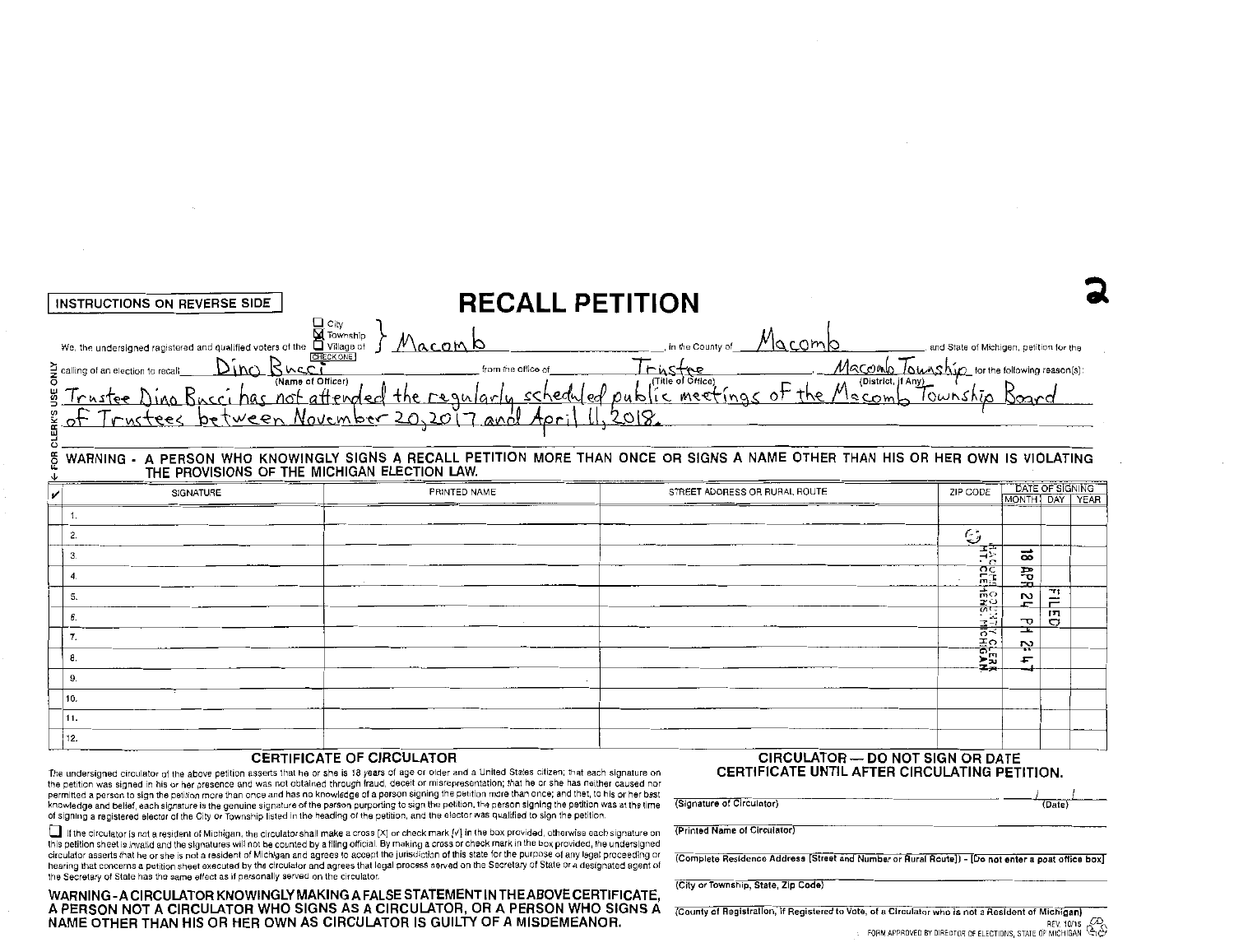|          | INSTRUCTIONS ON REVERSE SIDE                                                                                                                                                                                                            | <b>RECALL PETITION</b>                                                                                                                                                                                                                                                                                                                                                               |                                                                        |                                                                                                                                                                                                                                                                                                                                                                                                                        |                                                         |                                   |
|----------|-----------------------------------------------------------------------------------------------------------------------------------------------------------------------------------------------------------------------------------------|--------------------------------------------------------------------------------------------------------------------------------------------------------------------------------------------------------------------------------------------------------------------------------------------------------------------------------------------------------------------------------------|------------------------------------------------------------------------|------------------------------------------------------------------------------------------------------------------------------------------------------------------------------------------------------------------------------------------------------------------------------------------------------------------------------------------------------------------------------------------------------------------------|---------------------------------------------------------|-----------------------------------|
|          | U City<br>We, the undersigned ragistered and qualified voters of the UVillage of<br>Willage of the UVillage of<br>Dino Bucci<br>$\sum_{n=0}^{\infty}$ calling of an election to recall_<br>THE PROVISIONS OF THE MICHIGAN ELECTION LAW. | <u>Maconb</u><br>calling of an election to recall Dino Buccine (Name of Office) for the office of Trustee Macono Township for the following real<br>of Trustees between November 20,2017 and April 11, 2018.<br>WARNING - A PERSON WHO KNOWINGLY SIGNS A RECALL PETITION MORE THAN ONCE OR SIGNS A NAME OTHER THAN HIS OR HER OWN IS VIOLATING                                       | $\mu_{\alpha\text{Comb}}$ , in the County of $\mu_{\alpha\text{Comb}}$ | and State of Michigen, petition for the<br>$M$ $\overline{C}$ $\overline{C}$ $\overline{C}$ $\overline{C}$ $\overline{C}$ $\overline{C}$ $\overline{C}$ $\overline{C}$ $\overline{C}$ $\overline{C}$ $\overline{C}$ $\overline{C}$ $\overline{C}$ $\overline{C}$ $\overline{C}$ $\overline{C}$ $\overline{C}$ $\overline{C}$ $\overline{C}$ $\overline{C}$ $\overline{C}$ $\overline{C}$ $\overline{C}$ $\overline{C}$ |                                                         |                                   |
|          | SIGNATURE                                                                                                                                                                                                                               | PRINTED NAME                                                                                                                                                                                                                                                                                                                                                                         | STREET ADORESS OR RURAL ROUTE                                          | ZIP CODE                                                                                                                                                                                                                                                                                                                                                                                                               |                                                         | DATE OF SIGNING<br>MONTH DAY YEAR |
| 1.       |                                                                                                                                                                                                                                         |                                                                                                                                                                                                                                                                                                                                                                                      |                                                                        |                                                                                                                                                                                                                                                                                                                                                                                                                        |                                                         |                                   |
| 2.<br>3. |                                                                                                                                                                                                                                         |                                                                                                                                                                                                                                                                                                                                                                                      |                                                                        | $\epsilon$                                                                                                                                                                                                                                                                                                                                                                                                             | 莪<br>ಹ                                                  |                                   |
| 4.       |                                                                                                                                                                                                                                         |                                                                                                                                                                                                                                                                                                                                                                                      |                                                                        |                                                                                                                                                                                                                                                                                                                                                                                                                        | <b>PCE</b><br>PCE<br>豊                                  |                                   |
| 5.       |                                                                                                                                                                                                                                         |                                                                                                                                                                                                                                                                                                                                                                                      |                                                                        |                                                                                                                                                                                                                                                                                                                                                                                                                        | <b>LOOUSTIY CLER</b><br>LOOUSTIY CLER<br>$\overline{2}$ | 골<br>n                            |
| 6.       |                                                                                                                                                                                                                                         |                                                                                                                                                                                                                                                                                                                                                                                      |                                                                        |                                                                                                                                                                                                                                                                                                                                                                                                                        | ᠇ᠣ<br>≖                                                 | $\circ$                           |
| 7.<br>8. |                                                                                                                                                                                                                                         |                                                                                                                                                                                                                                                                                                                                                                                      |                                                                        |                                                                                                                                                                                                                                                                                                                                                                                                                        | <u>بہ</u><br>F                                          |                                   |
| 9.       |                                                                                                                                                                                                                                         |                                                                                                                                                                                                                                                                                                                                                                                      |                                                                        |                                                                                                                                                                                                                                                                                                                                                                                                                        |                                                         |                                   |
| 10.      |                                                                                                                                                                                                                                         |                                                                                                                                                                                                                                                                                                                                                                                      |                                                                        |                                                                                                                                                                                                                                                                                                                                                                                                                        |                                                         |                                   |
| 11.      |                                                                                                                                                                                                                                         |                                                                                                                                                                                                                                                                                                                                                                                      |                                                                        |                                                                                                                                                                                                                                                                                                                                                                                                                        |                                                         |                                   |
| 12.      |                                                                                                                                                                                                                                         | $\overline{a}$ $\overline{a}$ $\overline{a}$ $\overline{a}$ $\overline{a}$ $\overline{a}$ $\overline{a}$ $\overline{a}$ $\overline{a}$ $\overline{a}$ $\overline{a}$ $\overline{a}$ $\overline{a}$ $\overline{a}$ $\overline{a}$ $\overline{a}$ $\overline{a}$ $\overline{a}$ $\overline{a}$ $\overline{a}$ $\overline{a}$ $\overline{a}$ $\overline{a}$ $\overline{a}$ $\overline{$ | $\mathbf{C}$                                                           | DO HOT GIOH OD DATE                                                                                                                                                                                                                                                                                                                                                                                                    |                                                         |                                   |

#### CERTIFICATE OF CIRCULATOR

The undersigned circulator of the above petition asserts that he or she is 18 years of age or older and a United States citizen; that each signature on the petition was signed in his or her presence and was not obtained through fraud, deceit or misrepresentation; that he or she has neither caused nor permitted a person to sign the petition more than once and has no knowledge of a person signing the petition more than once; and that, to his or her best knowledge and belief, each signature is the genuine signature of the person purporting to sign the petition. the person signing the petition was at the time of signing a registered elector of the City or Township listed in the heading of the petition, and the elector was qualified to sign the petition

If the circulator is not a resident of Michigan, the circulator shall make a cross [X] or check mark [V] in the box provided, otherwise each signature on<br>this petition sheet is invalid and the signatures will not be counte circulator asserts that he or she is not a resident of Michigan and agrees to accept the jurisdiction of this state for the purpose of any legal proceeding or hearing that concerns a petition sheet executed by the circulator and agrees that legal process served on the Secretary of State or a designated agent of

the Secretary of State has the same effect as if personally served on the circulator.

CIRCULATOR - DO NOT SIGN OR DATE CERTIFICATE UNTIL AFTER CIRCULATING PETITION.

I (Signature of Circulator) (Date}

(Printed Name of Circulator)

(Complete Residence Address [Street and Number or Rural Route]) - [Do not enter a poat office box]

(City or Township, State, Zip Code}

WARNING -A CIRCULATOR KNOWINGLY MAKING A FALSE STATEMENT IN THE ABOVE CERTIFICATE, A PERSON NOT A CIRCULATOR WHO SIGNS AS A CIRCULATOR, OR A PERSON WHO SIGNS A NAME OTHER THAN HIS OR HER OWN AS CIRCULATOR IS GUILTY OF A MISDEMEANOR.

(County of Registration, if Registered to Vote, of a Circulator who is not a Resident of Michigan) REV 10/15<br>FORM APPROVED BY DIRECTOR OF ELECTIONS, STATE OF MICHIGAN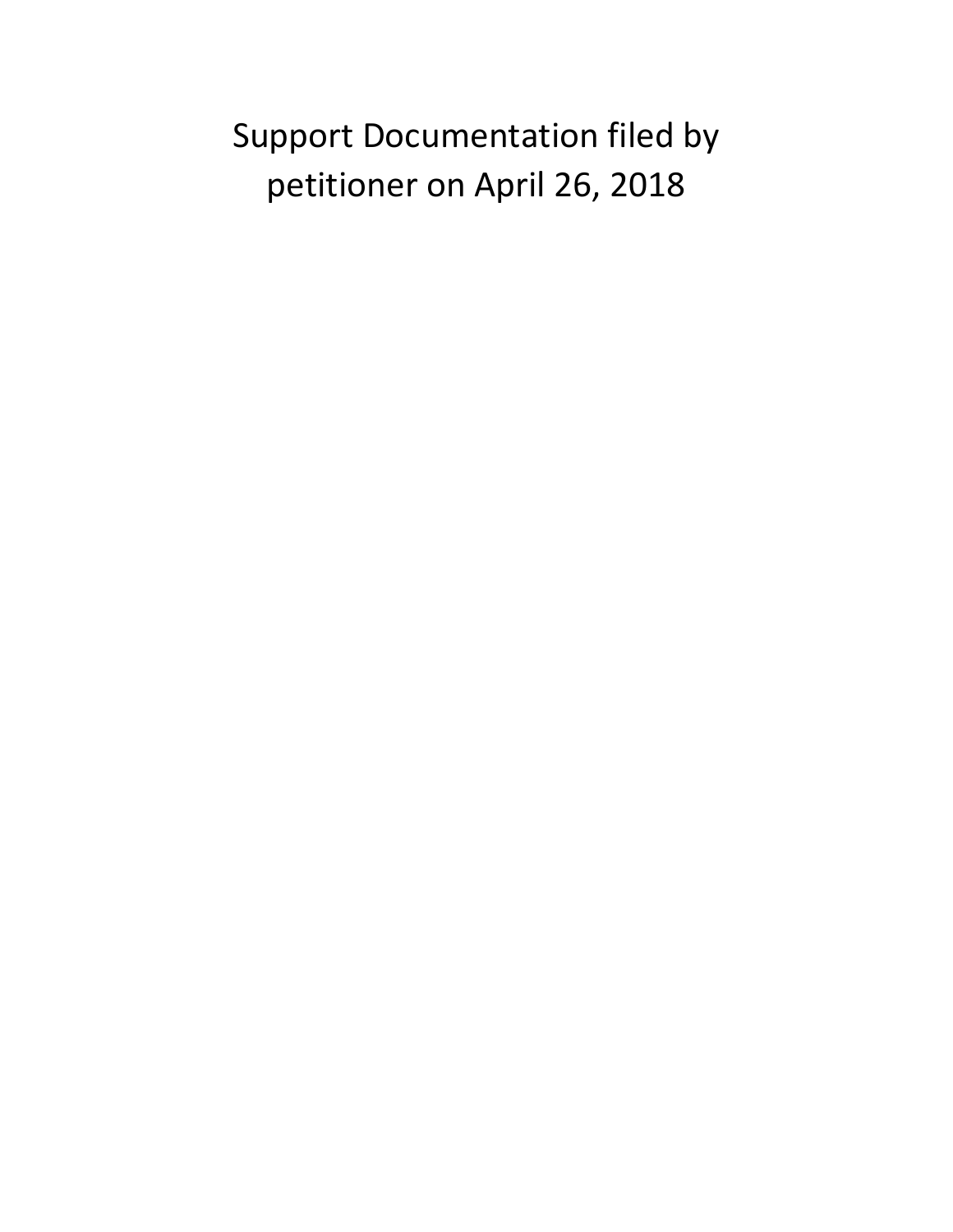# Support Documentation filed by petitioner on April 26, 2018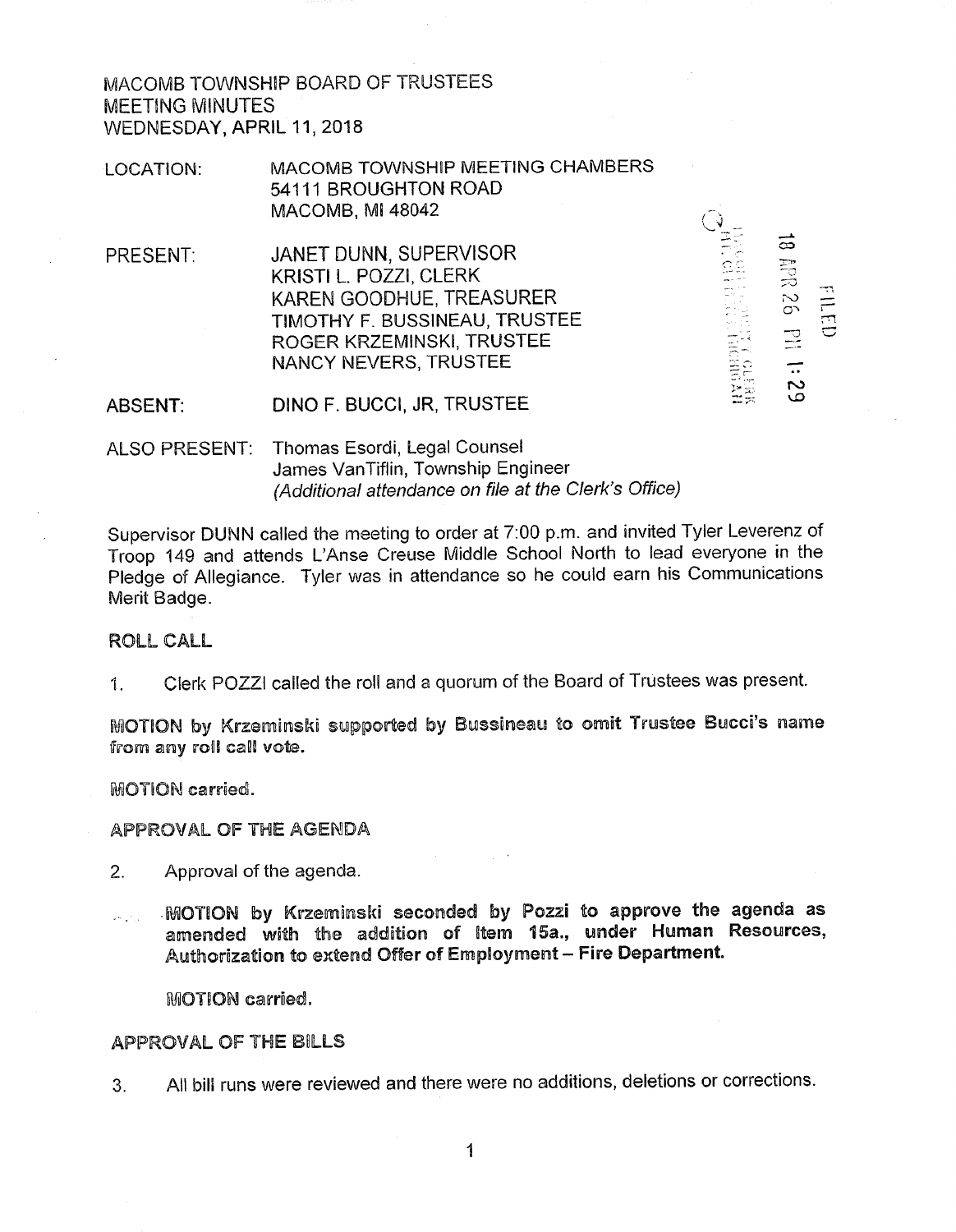MACOMB TOWNSHIP BOARD OF TRUSTEES **MEETING MINUTES** WEDNESDAY, APRIL 11, 2018

MACOMB TOWNSHIP MEETING CHAMBERS LOCATION: 54111 BROUGHTON ROAD MACOMB, MI 48042

JANET DUNN, SUPERVISOR PRESENT: KRISTI L. POZZI. CLERK KAREN GOODHUE, TREASURER TIMOTHY F. BUSSINEAU, TRUSTEE ROGER KRZEMINSKI, TRUSTEE NANCY NEVERS, TRUSTEE

DINO F. BUCCI, JR, TRUSTEE ABSENT:

ALSO PRESENT: Thomas Esordi, Legal Counsel James VanTiflin, Township Engineer (Additional attendance on file at the Clerk's Office)

Supervisor DUNN called the meeting to order at 7:00 p.m. and invited Tyler Leverenz of Troop 149 and attends L'Anse Creuse Middle School North to lead everyone in the Pledge of Allegiance. Tyler was in attendance so he could earn his Communications Merit Badge.

**AN ARRAIGE AND SERVE AND ARRAIGNMENT** 

18 APR 26 PIL 1:29

 $Q3713$ 

#### **ROLL CALL**

Clerk POZZI called the roll and a quorum of the Board of Trustees was present.  $\mathbf{1}$ .

MOTION by Krzeminski supported by Bussineau to omit Trustee Bucci's name from any roll call vote.

MOTION carried.

#### APPROVAL OF THE AGENDA

- $2.$ Approval of the agenda.
- MOTION by Krzeminski seconded by Pozzi to approve the agenda as  $\mathcal{L}_{\text{max}}$  ,  $\mathcal{L}_{\text{max}}$ amended with the addition of Item 15a., under Human Resources, Authorization to extend Offer of Employment - Fire Department.

**MOTION carried.** 

#### **APPROVAL OF THE BILLS**

All bill runs were reviewed and there were no additions, deletions or corrections.  $3<sub>1</sub>$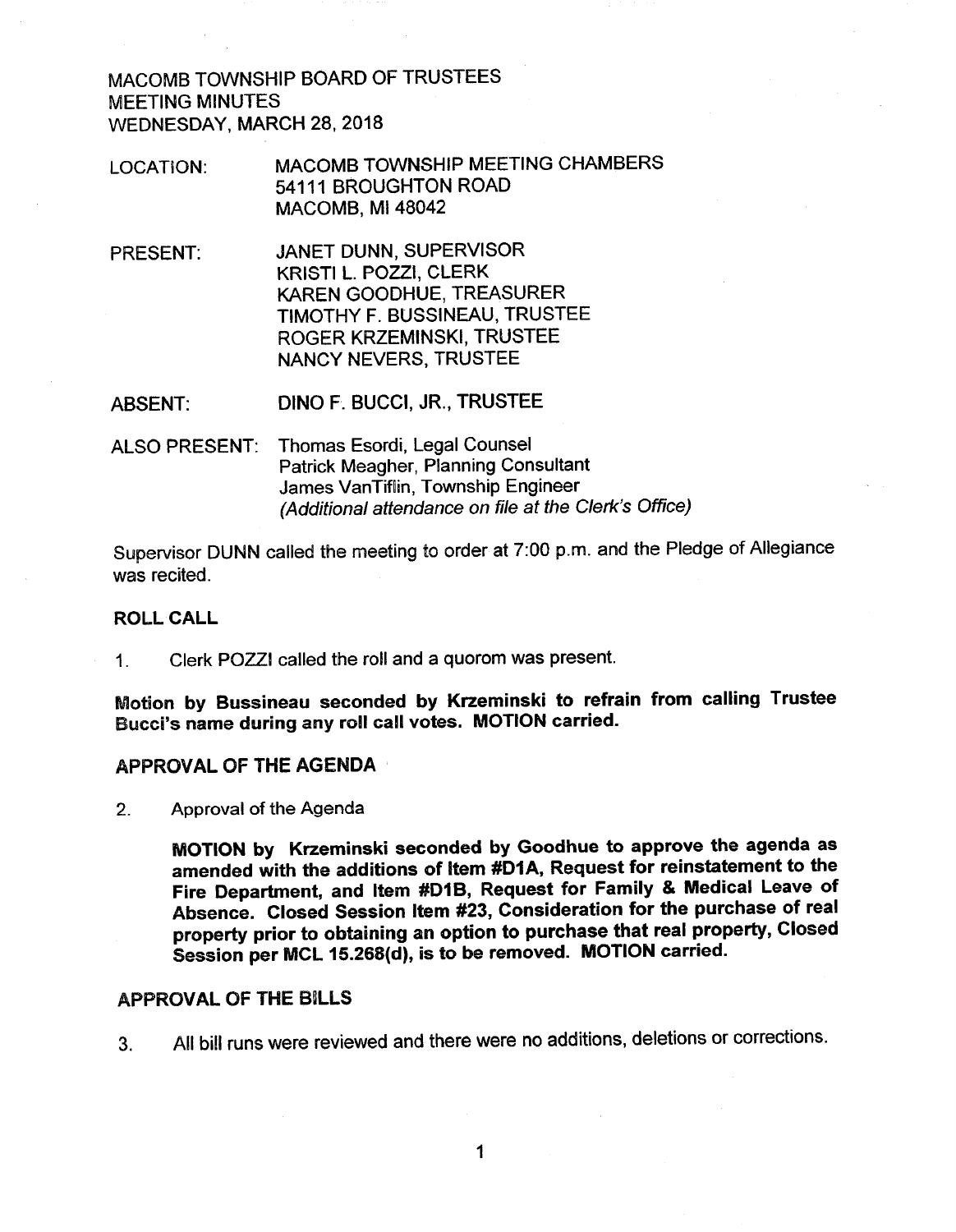MACOMB TOWNSHIP BOARD OF TRUSTEES **MEETING MINUTES** WEDNESDAY, MARCH 28, 2018

- MACOMB TOWNSHIP MEETING CHAMBERS **LOCATION:** 54111 BROUGHTON ROAD **MACOMB, MI 48042**
- PRESENT: JANET DUNN, SUPERVISOR KRISTI L. POZZI, CLERK KAREN GOODHUE, TREASURER TIMOTHY F. BUSSINEAU, TRUSTEE ROGER KRZEMINSKI, TRUSTEE **NANCY NEVERS, TRUSTEE**

DINO F. BUCCI, JR., TRUSTEE **ABSENT:** 

ALSO PRESENT: Thomas Esordi, Legal Counsel Patrick Meagher, Planning Consultant James VanTiflin, Township Engineer (Additional attendance on file at the Clerk's Office)

Supervisor DUNN called the meeting to order at 7:00 p.m. and the Pledge of Allegiance was recited.

#### **ROLL CALL**

Clerk POZZI called the roll and a quorom was present.  $1<sub>1</sub>$ 

Motion by Bussineau seconded by Krzeminski to refrain from calling Trustee Bucci's name during any roll call votes. MOTION carried.

#### APPROVAL OF THE AGENDA

 $2<sub>1</sub>$ Approval of the Agenda

> MOTION by Krzeminski seconded by Goodhue to approve the agenda as amended with the additions of Item #D1A, Request for reinstatement to the Fire Department, and Item #D1B, Request for Family & Medical Leave of Absence. Closed Session Item #23, Consideration for the purchase of real property prior to obtaining an option to purchase that real property, Closed Session per MCL 15.268(d), is to be removed. MOTION carried.

#### **APPROVAL OF THE BILLS**

All bill runs were reviewed and there were no additions, deletions or corrections.  $3<sub>1</sub>$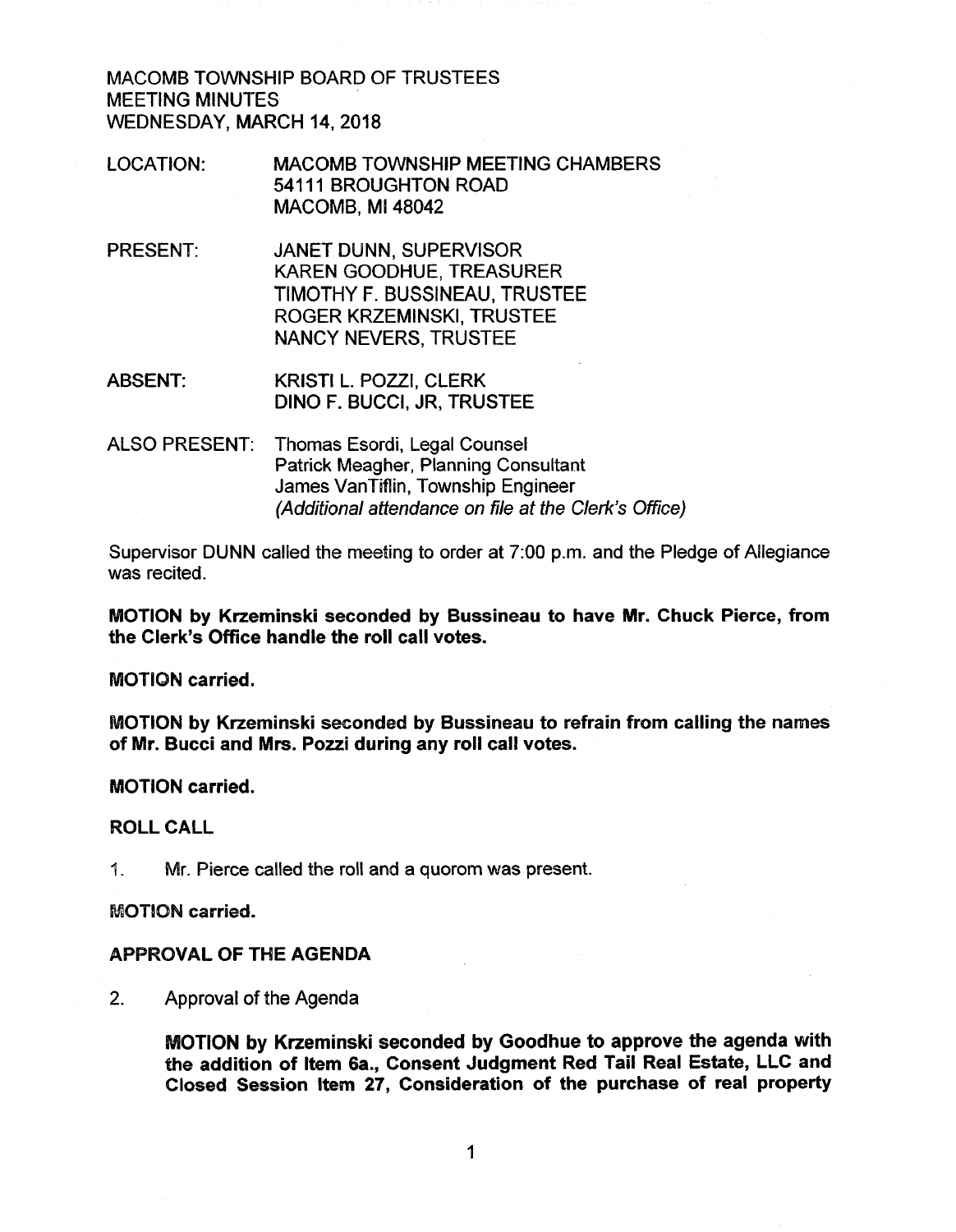MACOMB TOWNSHIP BOARD OF TRUSTEES **MEETING MINUTES** WEDNESDAY, MARCH 14, 2018

- **MACOMB TOWNSHIP MEETING CHAMBERS LOCATION:** 54111 BROUGHTON ROAD **MACOMB, MI 48042**
- JANET DUNN, SUPERVISOR **PRESENT:** KAREN GOODHUE, TREASURER TIMOTHY F. BUSSINEAU, TRUSTEE ROGER KRZEMINSKI, TRUSTEE **NANCY NEVERS, TRUSTEE**
- **ABSENT:** KRISTI L. POZZI, CLERK DINO F. BUCCI, JR, TRUSTEE
- ALSO PRESENT: Thomas Esordi, Legal Counsel Patrick Meagher, Planning Consultant James VanTiflin, Township Engineer (Additional attendance on file at the Clerk's Office)

Supervisor DUNN called the meeting to order at 7:00 p.m. and the Pledge of Allegiance was recited.

MOTION by Krzeminski seconded by Bussineau to have Mr. Chuck Pierce, from the Clerk's Office handle the roll call votes.

**MOTION** carried.

MOTION by Krzeminski seconded by Bussineau to refrain from calling the names of Mr. Bucci and Mrs. Pozzi during any roll call votes.

#### **MOTION carried.**

#### **ROLL CALL**

Mr. Pierce called the roll and a quorom was present. 1.

**MOTION carried.** 

#### **APPROVAL OF THE AGENDA**

 $2.$ Approval of the Agenda

> MOTION by Krzeminski seconded by Goodhue to approve the agenda with the addition of Item 6a., Consent Judgment Red Tail Real Estate, LLC and Closed Session Item 27, Consideration of the purchase of real property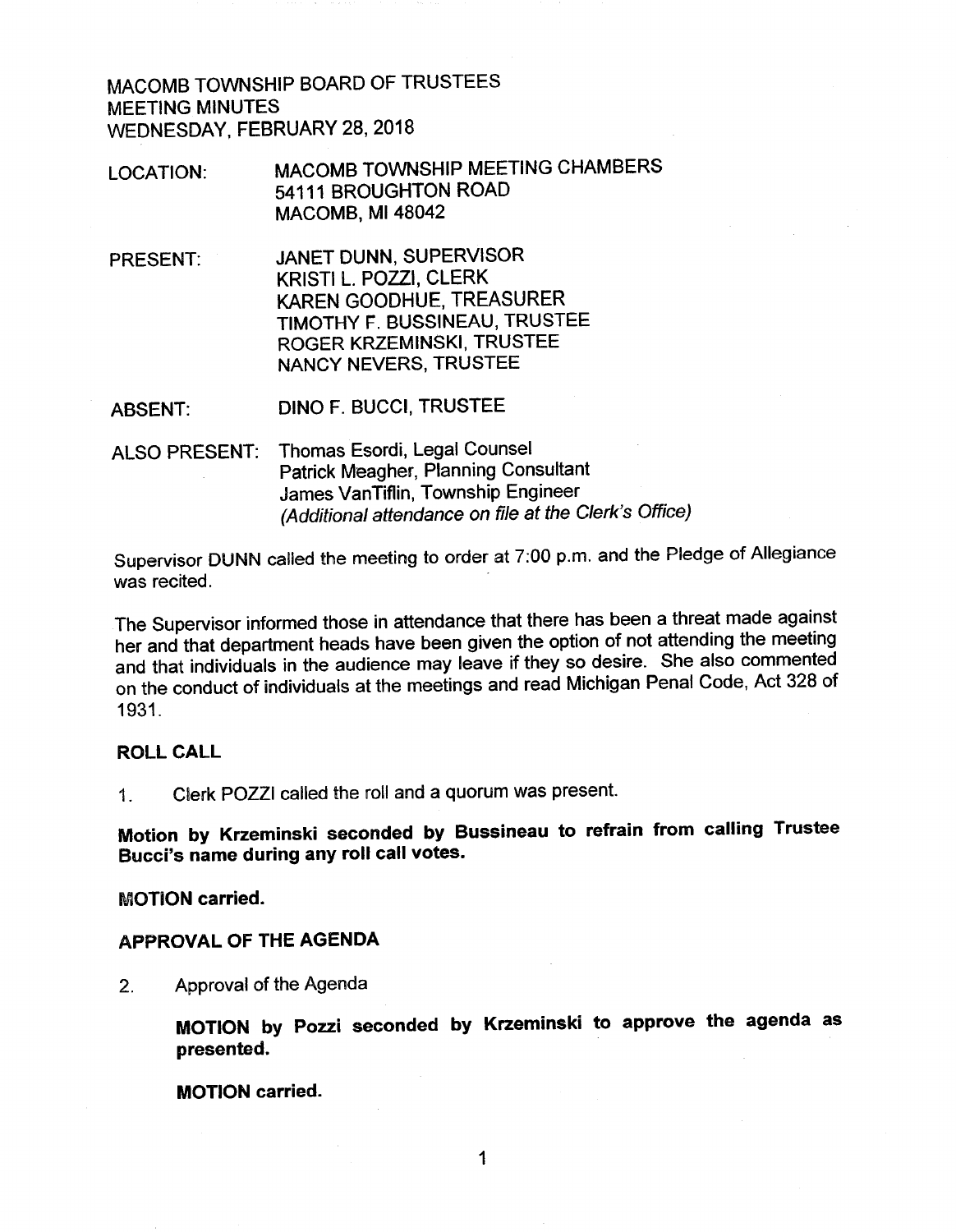MACOMB TOWNSHIP BOARD OF TRUSTEES **MEETING MINUTES** WEDNESDAY, FEBRUARY 28, 2018

- MACOMB TOWNSHIP MEETING CHAMBERS LOCATION: 54111 BROUGHTON ROAD **MACOMB, MI 48042**
- JANET DUNN, SUPERVISOR **PRESENT:** KRISTI L. POZZI, CLERK KAREN GOODHUE, TREASURER TIMOTHY F. BUSSINEAU, TRUSTEE ROGER KRZEMINSKI, TRUSTEE **NANCY NEVERS, TRUSTEE**
- DINO F. BUCCI, TRUSTEE ABSENT:
- Thomas Esordi, Legal Counsel ALSO PRESENT: Patrick Meagher, Planning Consultant James VanTiflin, Township Engineer (Additional attendance on file at the Clerk's Office)

Supervisor DUNN called the meeting to order at 7:00 p.m. and the Pledge of Allegiance was recited.

The Supervisor informed those in attendance that there has been a threat made against her and that department heads have been given the option of not attending the meeting and that individuals in the audience may leave if they so desire. She also commented on the conduct of individuals at the meetings and read Michigan Penal Code, Act 328 of 1931.

#### **ROLL CALL**

Clerk POZZI called the roll and a quorum was present.  $1<sup>1</sup>$ 

Motion by Krzeminski seconded by Bussineau to refrain from calling Trustee Bucci's name during any roll call votes.

#### **MOTION carried.**

#### **APPROVAL OF THE AGENDA**

 $2.$ Approval of the Agenda

> MOTION by Pozzi seconded by Krzeminski to approve the agenda as presented.

**MOTION** carried.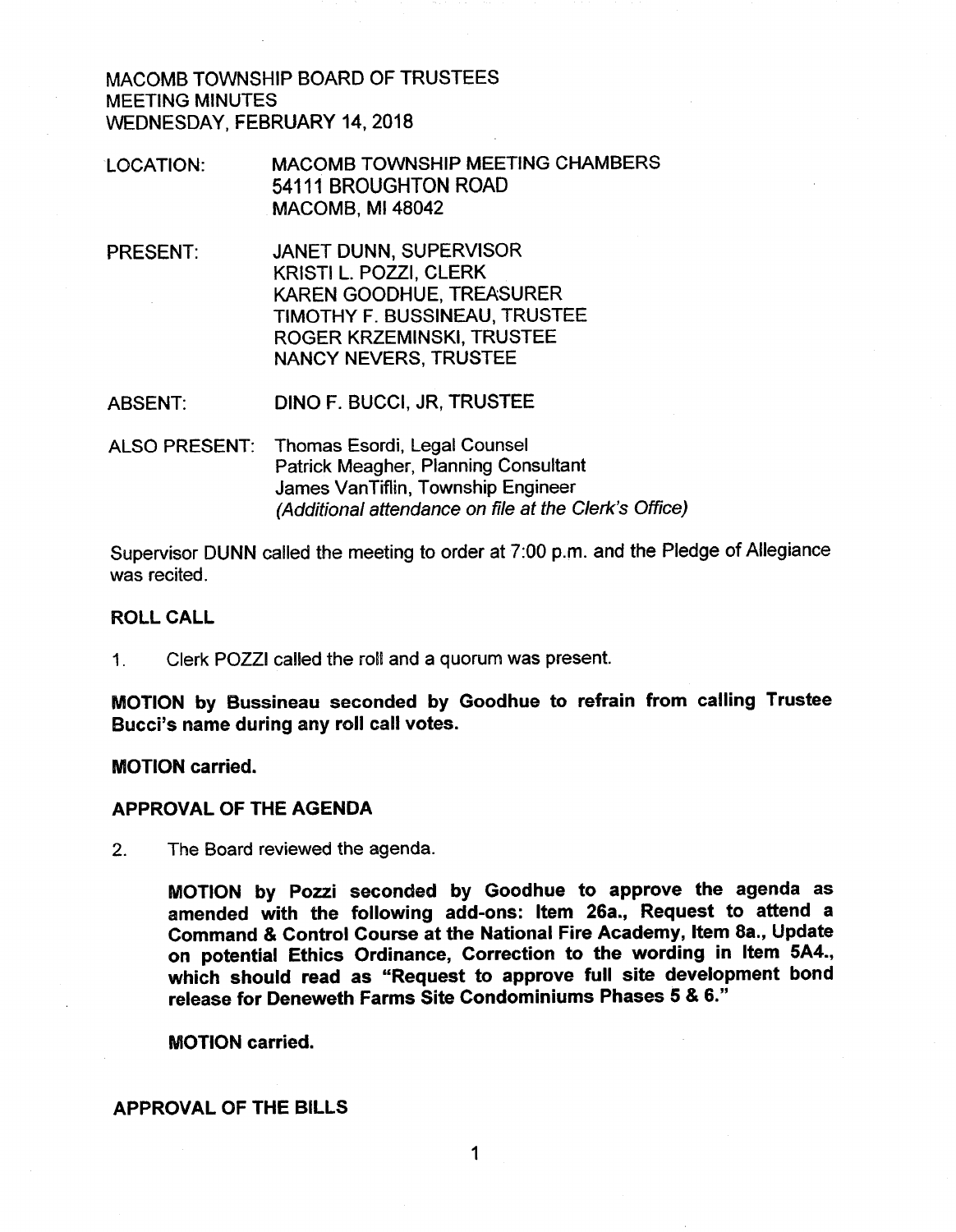MACOMB TOWNSHIP BOARD OF TRUSTEES **MEETING MINUTES** WEDNESDAY, FEBRUARY 14, 2018

- MACOMB TOWNSHIP MEETING CHAMBERS LOCATION: 54111 BROUGHTON ROAD **MACOMB. MI 48042**
- PRESENT: **JANET DUNN, SUPERVISOR** KRISTI L. POZZI, CLERK **KAREN GOODHUE, TREASURER** TIMOTHY F. BUSSINEAU, TRUSTEE ROGER KRZEMINSKI. TRUSTEE **NANCY NEVERS, TRUSTEE**
- DINO F. BUCCI, JR, TRUSTEE **ABSENT:**
- ALSO PRESENT: Thomas Esordi, Legal Counsel Patrick Meagher, Planning Consultant James VanTiflin, Township Engineer (Additional attendance on file at the Clerk's Office)

Supervisor DUNN called the meeting to order at 7:00 p.m. and the Pledge of Allegiance was recited.

#### **ROLL CALL**

Clerk POZZI called the roll and a quorum was present.  $1<sub>1</sub>$ 

MOTION by Bussineau seconded by Goodhue to refrain from calling Trustee Bucci's name during any roll call votes.

**MOTION** carried.

#### **APPROVAL OF THE AGENDA**

 $2.$ The Board reviewed the agenda.

> MOTION by Pozzi seconded by Goodhue to approve the agenda as amended with the following add-ons: Item 26a., Request to attend a Command & Control Course at the National Fire Academy, Item 8a., Update on potential Ethics Ordinance, Correction to the wording in Item 5A4., which should read as "Request to approve full site development bond release for Deneweth Farms Site Condominiums Phases 5 & 6."

**MOTION carried.** 

#### **APPROVAL OF THE BILLS**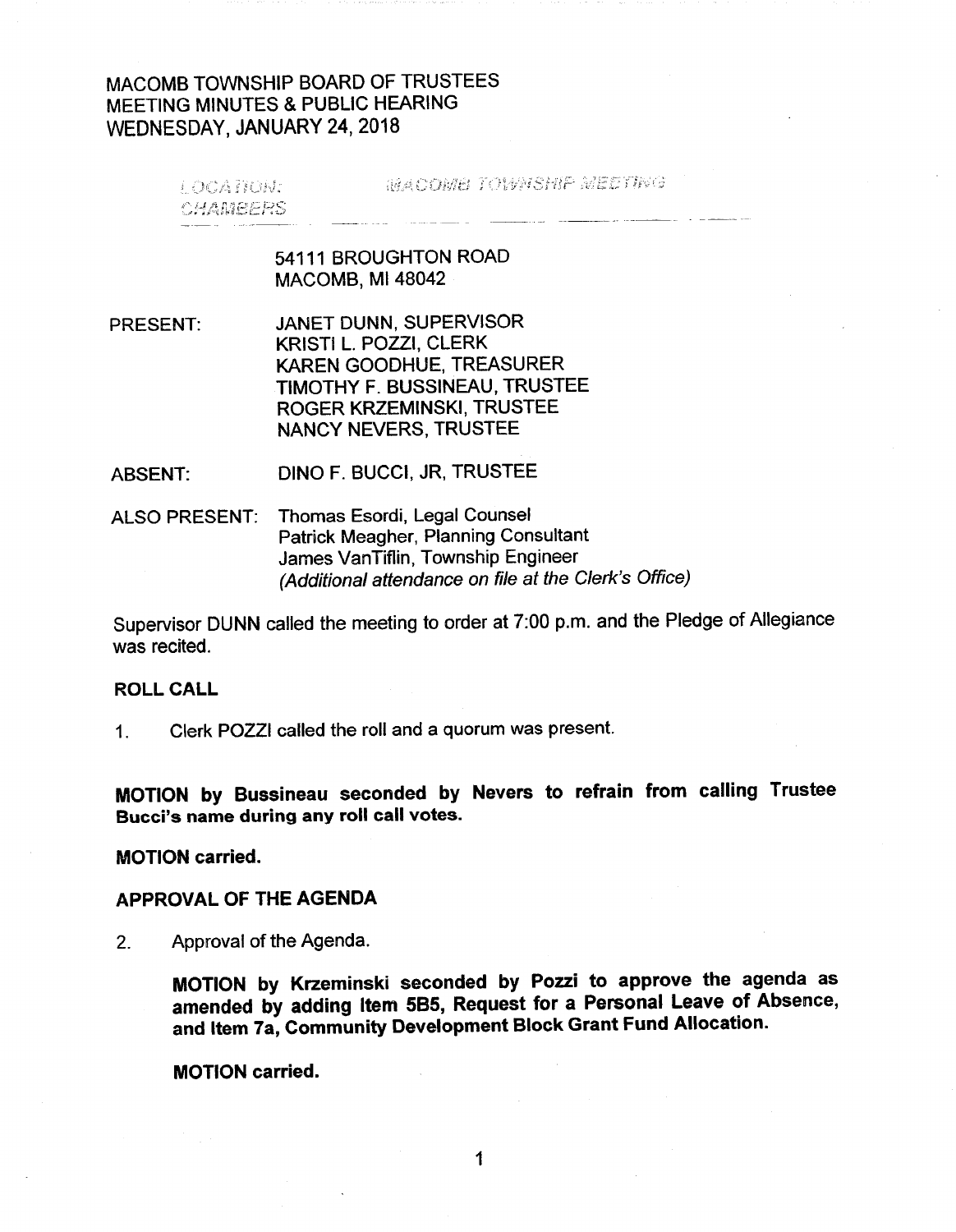## MACOMB TOWNSHIP BOARD OF TRUSTEES MEETING MINUTES & PUBLIC HEARING WEDNESDAY, JANUARY 24, 2018

**MACOME TOWNSHIP MEETING** LOCATION: I **CHAMEERS** 

#### 54111 BROUGHTON ROAD **MACOMB, MI 48042**

JANET DUNN, SUPERVISOR **PRESENT:** KRISTI L. POZZI, CLERK KAREN GOODHUE, TREASURER TIMOTHY F. BUSSINEAU, TRUSTEE ROGER KRZEMINSKI, TRUSTEE **NANCY NEVERS, TRUSTEE** 

DINO F. BUCCI, JR, TRUSTEE **ABSENT:** 

Thomas Esordi, Legal Counsel **ALSO PRESENT:** Patrick Meagher, Planning Consultant James VanTiflin, Township Engineer (Additional attendance on file at the Clerk's Office)

Supervisor DUNN called the meeting to order at 7:00 p.m. and the Pledge of Allegiance was recited.

#### **ROLL CALL**

Clerk POZZI called the roll and a quorum was present.  $1<sub>1</sub>$ 

MOTION by Bussineau seconded by Nevers to refrain from calling Trustee Bucci's name during any roll call votes.

**MOTION carried.** 

#### APPROVAL OF THE AGENDA

Approval of the Agenda.  $2<sub>1</sub>$ 

> MOTION by Krzeminski seconded by Pozzi to approve the agenda as amended by adding Item 5B5, Request for a Personal Leave of Absence, and Item 7a, Community Development Block Grant Fund Allocation.

**MOTION carried.**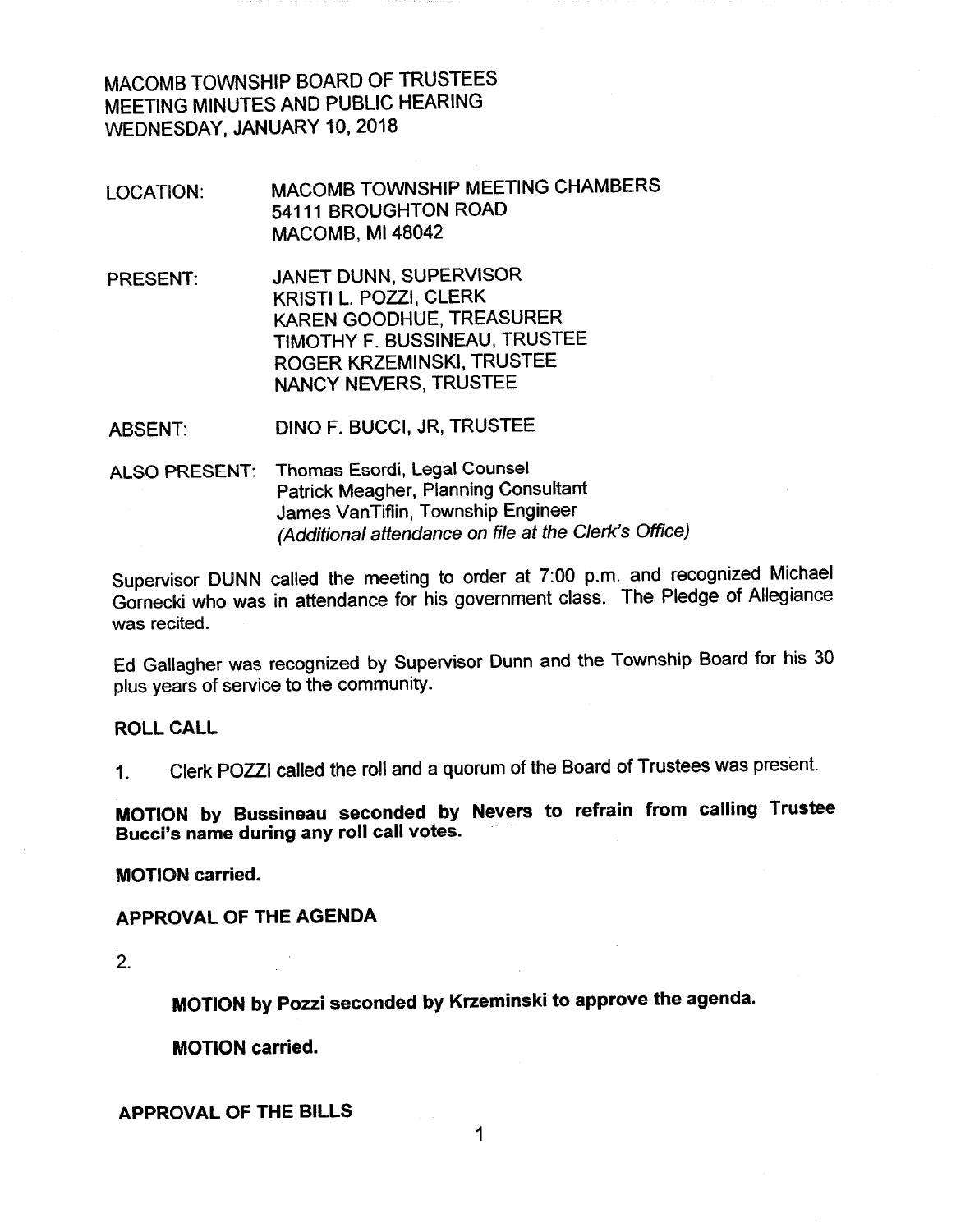MACOMB TOWNSHIP BOARD OF TRUSTEES MEETING MINUTES AND PUBLIC HEARING WEDNESDAY, JANUARY 10, 2018

- MACOMB TOWNSHIP MEETING CHAMBERS LOCATION: 54111 BROUGHTON ROAD MACOMB, MI 48042
- JANET DUNN, SUPERVISOR **PRESENT:** KRISTI L. POZZI, CLERK KAREN GOODHUE, TREASURER TIMOTHY F. BUSSINEAU, TRUSTEE ROGER KRZEMINSKI, TRUSTEE **NANCY NEVERS, TRUSTEE**

**DINO F. BUCCI, JR, TRUSTEE ABSENT:** 

ALSO PRESENT: Thomas Esordi, Legal Counsel **Patrick Meagher, Planning Consultant** James VanTiflin, Township Engineer (Additional attendance on file at the Clerk's Office)

Supervisor DUNN called the meeting to order at 7:00 p.m. and recognized Michael Gornecki who was in attendance for his government class. The Pledge of Allegiance was recited.

Ed Gallagher was recognized by Supervisor Dunn and the Township Board for his 30 plus years of service to the community.

#### **ROLL CALL**

Clerk POZZI called the roll and a quorum of the Board of Trustees was present.  $1<sup>1</sup>$ 

MOTION by Bussineau seconded by Nevers to refrain from calling Trustee Bucci's name during any roll call votes.

**MOTION carried.** 

APPROVAL OF THE AGENDA

 $2<sub>1</sub>$ 

MOTION by Pozzi seconded by Krzeminski to approve the agenda.

**MOTION carried.** 

**APPROVAL OF THE BILLS** 

1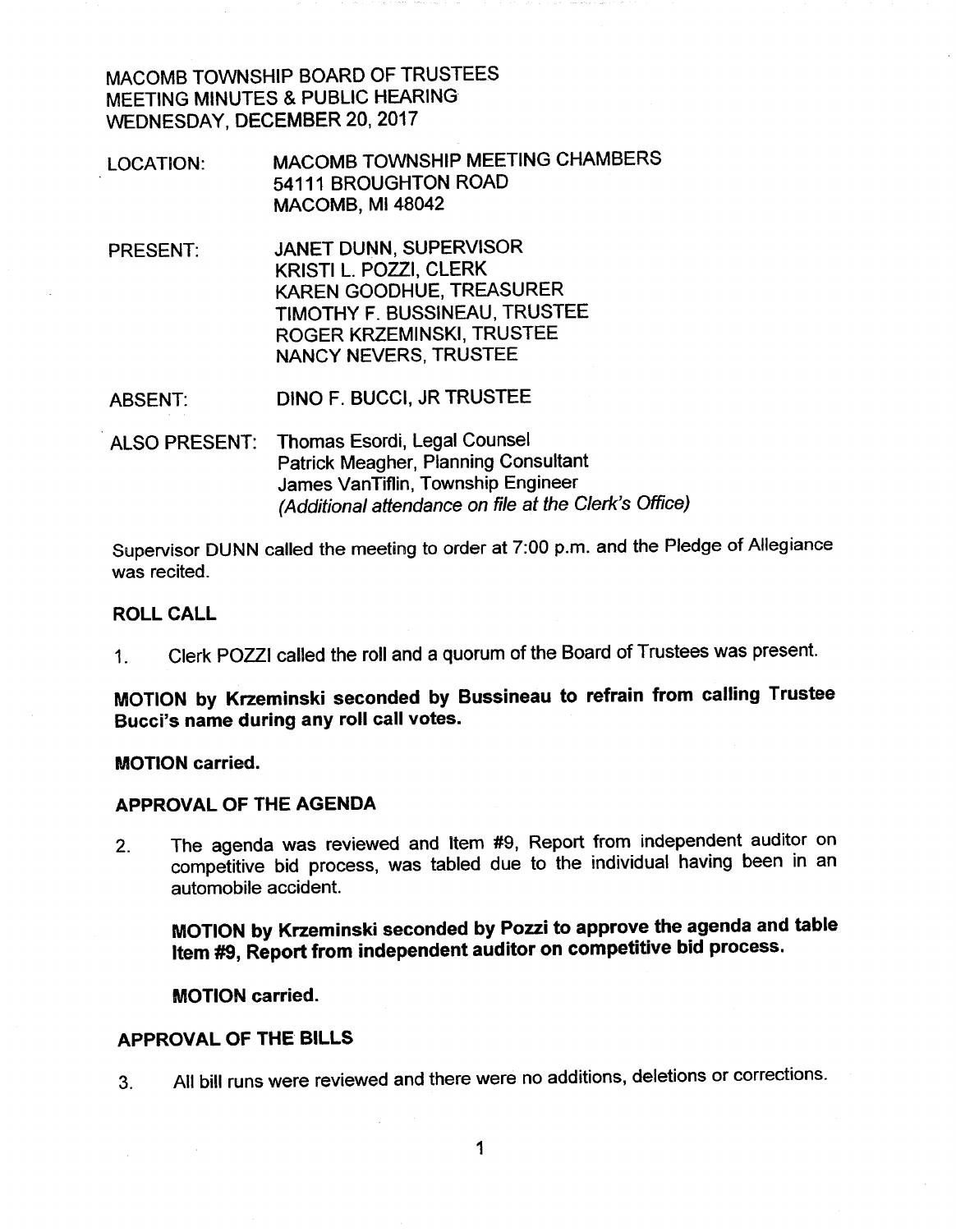MACOMB TOWNSHIP BOARD OF TRUSTEES MEETING MINUTES & PUBLIC HEARING WEDNESDAY, DECEMBER 20, 2017

- MACOMB TOWNSHIP MEETING CHAMBERS LOCATION: 54111 BROUGHTON ROAD MACOMB, MI 48042
- JANET DUNN, SUPERVISOR **PRESENT:** KRISTI L. POZZI, CLERK KAREN GOODHUE, TREASURER TIMOTHY F. BUSSINEAU, TRUSTEE ROGER KRZEMINSKI, TRUSTEE NANCY NEVERS, TRUSTEE

DINO F. BUCCI, JR TRUSTEE **ABSENT:** 

ALSO PRESENT: Thomas Esordi, Legal Counsel Patrick Meagher, Planning Consultant James VanTiflin, Township Engineer (Additional attendance on file at the Clerk's Office)

Supervisor DUNN called the meeting to order at 7:00 p.m. and the Pledge of Allegiance was recited.

#### **ROLL CALL**

Clerk POZZI called the roll and a quorum of the Board of Trustees was present.  $1<sub>1</sub>$ 

MOTION by Krzeminski seconded by Bussineau to refrain from calling Trustee Bucci's name during any roll call votes.

**MOTION** carried.

#### APPROVAL OF THE AGENDA

The agenda was reviewed and Item #9, Report from independent auditor on  $2.$ competitive bid process, was tabled due to the individual having been in an automobile accident.

MOTION by Krzeminski seconded by Pozzi to approve the agenda and table Item #9, Report from independent auditor on competitive bid process.

**MOTION carried.** 

#### **APPROVAL OF THE BILLS**

All bill runs were reviewed and there were no additions, deletions or corrections.  $3<sub>1</sub>$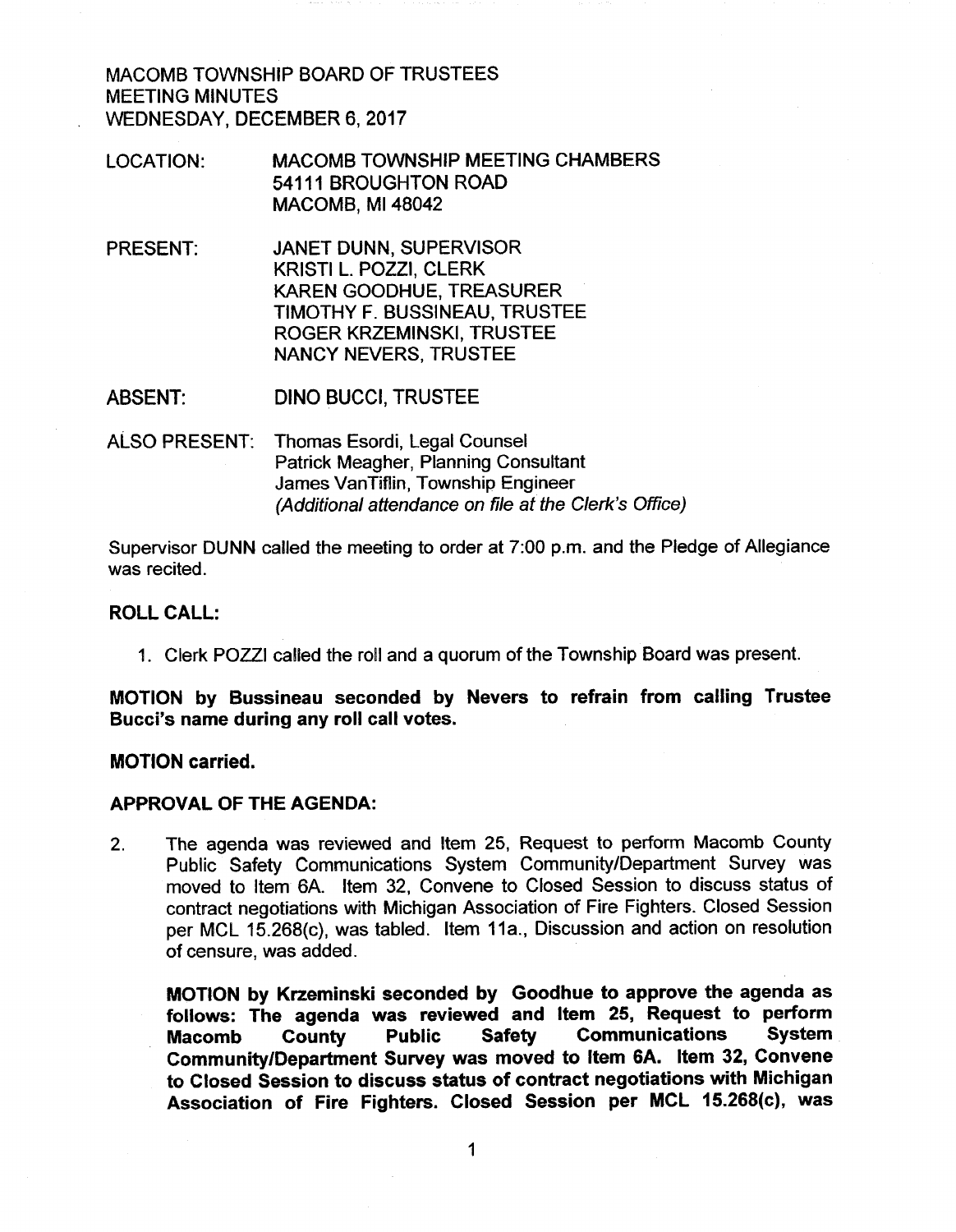MACOMB TOWNSHIP BOARD OF TRUSTEES **MEETING MINUTES** WEDNESDAY, DECEMBER 6, 2017

- **MACOMB TOWNSHIP MEETING CHAMBERS** LOCATION: 54111 BROUGHTON ROAD MACOMB, MI 48042
- **PRESENT: JANET DUNN, SUPERVISOR** KRISTI L. POZZI, CLERK **KAREN GOODHUE, TREASURER** TIMOTHY F. BUSSINEAU, TRUSTEE ROGER KRZEMINSKI, TRUSTEE **NANCY NEVERS, TRUSTEE**
- **ABSENT: DINO BUCCI, TRUSTEE**
- ALSO PRESENT: Thomas Esordi, Legal Counsel Patrick Meagher, Planning Consultant James VanTiflin, Township Engineer (Additional attendance on file at the Clerk's Office)

Supervisor DUNN called the meeting to order at 7:00 p.m. and the Pledge of Allegiance was recited.

#### **ROLL CALL:**

1. Clerk POZZI called the roll and a guorum of the Township Board was present.

MOTION by Bussineau seconded by Nevers to refrain from calling Trustee Bucci's name during any roll call votes.

#### **MOTION** carried.

#### **APPROVAL OF THE AGENDA:**

The agenda was reviewed and Item 25, Request to perform Macomb County  $2.$ Public Safety Communications System Community/Department Survey was moved to Item 6A. Item 32, Convene to Closed Session to discuss status of contract negotiations with Michigan Association of Fire Fighters. Closed Session per MCL 15.268(c), was tabled. Item 11a., Discussion and action on resolution of censure, was added.

MOTION by Krzeminski seconded by Goodhue to approve the agenda as follows: The agenda was reviewed and Item 25, Request to perform **Communications System** County **Public Safety Macomb** Community/Department Survey was moved to Item 6A. Item 32, Convene to Closed Session to discuss status of contract negotiations with Michigan Association of Fire Fighters. Closed Session per MCL 15.268(c), was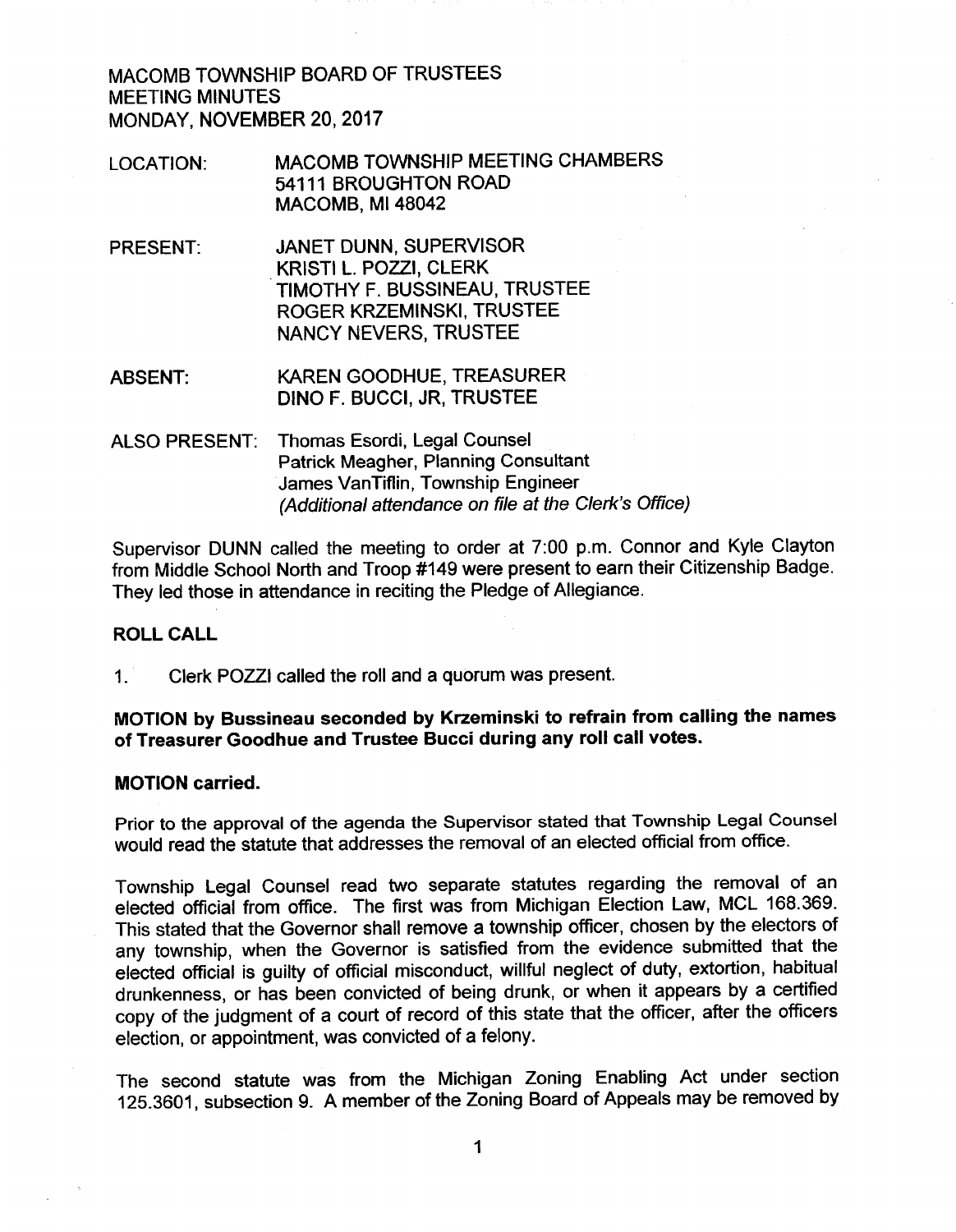MACOMB TOWNSHIP BOARD OF TRUSTEES **MEETING MINUTES** MONDAY, NOVEMBER 20, 2017

- MACOMB TOWNSHIP MEETING CHAMBERS **LOCATION:** 54111 BROUGHTON ROAD MACOMB, MI 48042
- JANET DUNN, SUPERVISOR PRESENT: KRISTI L. POZZI, CLERK TIMOTHY F. BUSSINEAU, TRUSTEE ROGER KRZEMINSKI, TRUSTEE **NANCY NEVERS, TRUSTEE**
- KAREN GOODHUE, TREASURER **ABSENT:** DINO F. BUCCI, JR, TRUSTEE
- Thomas Esordi, Legal Counsel **ALSO PRESENT:** Patrick Meagher, Planning Consultant James VanTiflin, Township Engineer (Additional attendance on file at the Clerk's Office)

Supervisor DUNN called the meeting to order at 7:00 p.m. Connor and Kyle Clayton from Middle School North and Troop #149 were present to earn their Citizenship Badge. They led those in attendance in reciting the Pledge of Allegiance.

#### **ROLL CALL**

 $1<sup>1</sup>$ Clerk POZZI called the roll and a quorum was present.

## MOTION by Bussineau seconded by Krzeminski to refrain from calling the names of Treasurer Goodhue and Trustee Bucci during any roll call votes.

#### **MOTION** carried.

Prior to the approval of the agenda the Supervisor stated that Township Legal Counsel would read the statute that addresses the removal of an elected official from office.

Township Legal Counsel read two separate statutes regarding the removal of an elected official from office. The first was from Michigan Election Law, MCL 168.369. This stated that the Governor shall remove a township officer, chosen by the electors of any township, when the Governor is satisfied from the evidence submitted that the elected official is guilty of official misconduct, willful neglect of duty, extortion, habitual drunkenness, or has been convicted of being drunk, or when it appears by a certified copy of the judgment of a court of record of this state that the officer, after the officers election, or appointment, was convicted of a felony.

The second statute was from the Michigan Zoning Enabling Act under section 125.3601, subsection 9. A member of the Zoning Board of Appeals may be removed by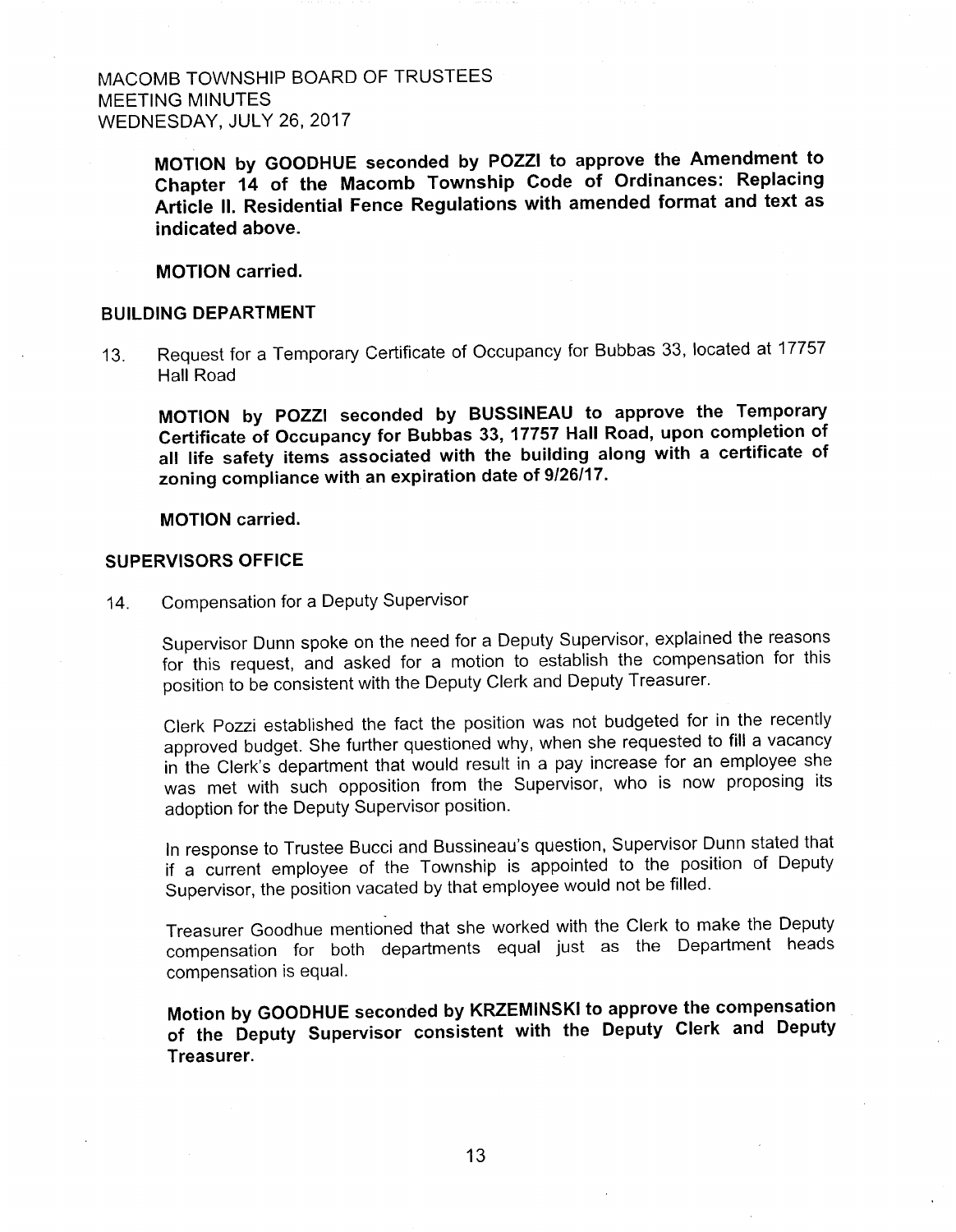MACOMB TOWNSHIP BOARD OF TRUSTEES **MEETING MINUTES** WEDNESDAY, JULY 26, 2017

> MOTION by GOODHUE seconded by POZZI to approve the Amendment to Chapter 14 of the Macomb Township Code of Ordinances: Replacing Article II. Residential Fence Regulations with amended format and text as indicated above.

**MOTION** carried.

#### **BUILDING DEPARTMENT**

Request for a Temporary Certificate of Occupancy for Bubbas 33, located at 17757  $13.$ **Hall Road** 

MOTION by POZZI seconded by BUSSINEAU to approve the Temporary Certificate of Occupancy for Bubbas 33, 17757 Hall Road, upon completion of all life safety items associated with the building along with a certificate of zoning compliance with an expiration date of 9/26/17.

**MOTION** carried.

#### **SUPERVISORS OFFICE**

 $14.$ Compensation for a Deputy Supervisor

> Supervisor Dunn spoke on the need for a Deputy Supervisor, explained the reasons for this request, and asked for a motion to establish the compensation for this position to be consistent with the Deputy Clerk and Deputy Treasurer.

> Clerk Pozzi established the fact the position was not budgeted for in the recently approved budget. She further questioned why, when she requested to fill a vacancy in the Clerk's department that would result in a pay increase for an employee she was met with such opposition from the Supervisor, who is now proposing its adoption for the Deputy Supervisor position.

> In response to Trustee Bucci and Bussineau's question, Supervisor Dunn stated that if a current employee of the Township is appointed to the position of Deputy Supervisor, the position vacated by that employee would not be filled.

> Treasurer Goodhue mentioned that she worked with the Clerk to make the Deputy compensation for both departments equal just as the Department heads compensation is equal.

> Motion by GOODHUE seconded by KRZEMINSKI to approve the compensation of the Deputy Supervisor consistent with the Deputy Clerk and Deputy Treasurer.